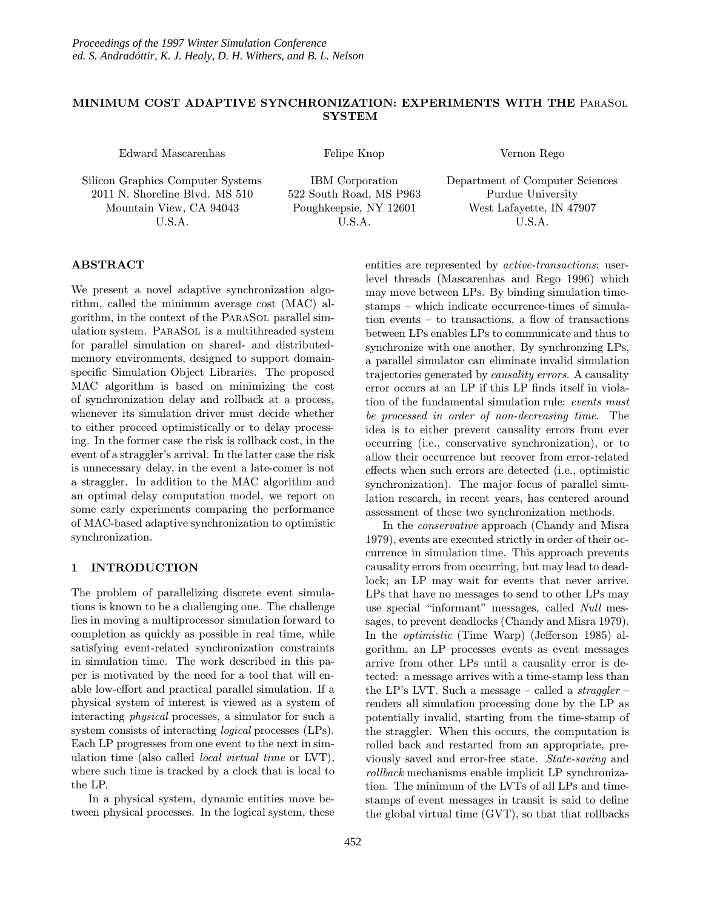# MINIMUM COST ADAPTIVE SYNCHRONIZATION: EXPERIMENTS WITH THE ParaSol **SYSTEM**

Edward Mascarenhas

Silicon Graphics Computer Systems 2011 N. Shoreline Blvd. MS 510 Mountain View, CA 94043 U.S.A.

Felipe Knop

Vernon Rego

IBM Corporation 522 South Road, MS P963 Poughkeepsie, NY 12601 U.S.A.

Department of Computer Sciences Purdue University West Lafayette, IN 47907 U.S.A.

# ABSTRACT

We present a novel adaptive synchronization algorithm, called the minimum average cost (MAC) algorithm, in the context of the ParaSol parallel simulation system. ParaSol is a multithreaded system for parallel simulation on shared- and distributedmemory environments, designed to support domainspecific Simulation Object Libraries. The proposed MAC algorithm is based on minimizing the cost of synchronization delay and rollback at a process, whenever its simulation driver must decide whether to either proceed optimistically or to delay processing. In the former case the risk is rollback cost, in the event of a straggler's arrival. In the latter case the risk is unnecessary delay, in the event a late-comer is not a straggler. In addition to the MAC algorithm and an optimal delay computation model, we report on some early experiments comparing the performance of MAC-based adaptive synchronization to optimistic synchronization.

# 1 INTRODUCTION

The problem of parallelizing discrete event simulations is known to be a challenging one. The challenge lies in moving a multiprocessor simulation forward to completion as quickly as possible in real time, while satisfying event-related synchronization constraints in simulation time. The work described in this paper is motivated by the need for a tool that will enable low-effort and practical parallel simulation. If a physical system of interest is viewed as a system of interacting physical processes, a simulator for such a system consists of interacting logical processes (LPs). Each LP progresses from one event to the next in simulation time (also called local virtual time or LVT), where such time is tracked by a clock that is local to the LP.

In a physical system, dynamic entities move between physical processes. In the logical system, these entities are represented by active-transactions: userlevel threads (Mascarenhas and Rego 1996) which may move between LPs. By binding simulation timestamps – which indicate occurrence-times of simulation events – to transactions, a flow of transactions between LPs enables LPs to communicate and thus to synchronize with one another. By synchronzing LPs, a parallel simulator can eliminate invalid simulation trajectories generated by causality errors. A causality error occurs at an LP if this LP finds itself in violation of the fundamental simulation rule: events must be processed in order of non-decreasing time. The idea is to either prevent causality errors from ever occurring (i.e., conservative synchronization), or to allow their occurrence but recover from error-related effects when such errors are detected (i.e., optimistic synchronization). The major focus of parallel simulation research, in recent years, has centered around assessment of these two synchronization methods.

In the conservative approach (Chandy and Misra 1979), events are executed strictly in order of their occurrence in simulation time. This approach prevents causality errors from occurring, but may lead to deadlock; an LP may wait for events that never arrive. LPs that have no messages to send to other LPs may use special "informant" messages, called Null messages, to prevent deadlocks (Chandy and Misra 1979). In the optimistic (Time Warp) (Jefferson 1985) algorithm, an LP processes events as event messages arrive from other LPs until a causality error is detected: a message arrives with a time-stamp less than the LP's LVT. Such a message – called a *straggler* – renders all simulation processing done by the LP as potentially invalid, starting from the time-stamp of the straggler. When this occurs, the computation is rolled back and restarted from an appropriate, previously saved and error-free state. State-saving and rollback mechanisms enable implicit LP synchronization. The minimum of the LVTs of all LPs and timestamps of event messages in transit is said to define the global virtual time (GVT), so that that rollbacks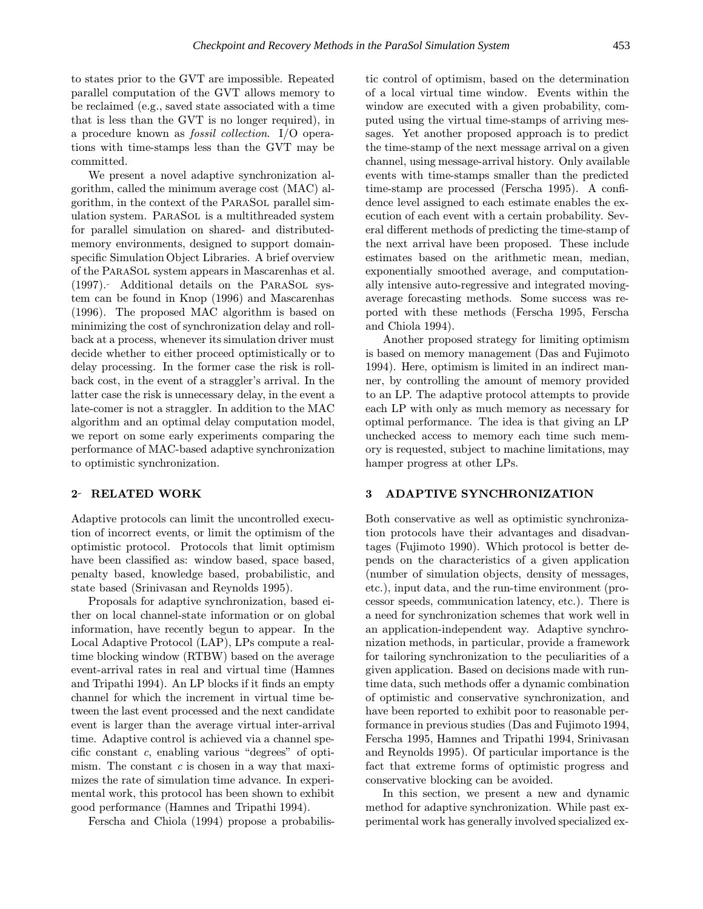to states prior to the GVT are impossible. Repeated parallel computation of the GVT allows memory to be reclaimed (e.g., saved state associated with a time that is less than the GVT is no longer required), in a procedure known as fossil collection. I/O operations with time-stamps less than the GVT may be committed.

We present a novel adaptive synchronization algorithm, called the minimum average cost (MAC) algorithm, in the context of the ParaSol parallel simulation system. ParaSol is a multithreaded system for parallel simulation on shared- and distributedmemory environments, designed to support domainspecific Simulation Object Libraries. A brief overview of the ParaSol system appears in Mascarenhas et al. (1997). Additional details on the ParaSol system can be found in Knop (1996) and Mascarenhas (1996). The proposed MAC algorithm is based on minimizing the cost of synchronization delay and rollback at a process, whenever its simulation driver must decide whether to either proceed optimistically or to delay processing. In the former case the risk is rollback cost, in the event of a straggler's arrival. In the latter case the risk is unnecessary delay, in the event a late-comer is not a straggler. In addition to the MAC algorithm and an optimal delay computation model, we report on some early experiments comparing the performance of MAC-based adaptive synchronization to optimistic synchronization.

## 2 RELATED WORK

Adaptive protocols can limit the uncontrolled execution of incorrect events, or limit the optimism of the optimistic protocol. Protocols that limit optimism have been classified as: window based, space based, penalty based, knowledge based, probabilistic, and state based (Srinivasan and Reynolds 1995).

Proposals for adaptive synchronization, based either on local channel-state information or on global information, have recently begun to appear. In the Local Adaptive Protocol (LAP), LPs compute a realtime blocking window (RTBW) based on the average event-arrival rates in real and virtual time (Hamnes and Tripathi 1994). An LP blocks if it finds an empty channel for which the increment in virtual time between the last event processed and the next candidate event is larger than the average virtual inter-arrival time. Adaptive control is achieved via a channel specific constant c, enabling various "degrees" of optimism. The constant  $c$  is chosen in a way that maximizes the rate of simulation time advance. In experimental work, this protocol has been shown to exhibit good performance (Hamnes and Tripathi 1994).

Ferscha and Chiola (1994) propose a probabilis-

tic control of optimism, based on the determination of a local virtual time window. Events within the window are executed with a given probability, computed using the virtual time-stamps of arriving messages. Yet another proposed approach is to predict the time-stamp of the next message arrival on a given channel, using message-arrival history. Only available events with time-stamps smaller than the predicted time-stamp are processed (Ferscha 1995). A confidence level assigned to each estimate enables the execution of each event with a certain probability. Several different methods of predicting the time-stamp of the next arrival have been proposed. These include estimates based on the arithmetic mean, median, exponentially smoothed average, and computationally intensive auto-regressive and integrated movingaverage forecasting methods. Some success was reported with these methods (Ferscha 1995, Ferscha and Chiola 1994).

Another proposed strategy for limiting optimism is based on memory management (Das and Fujimoto 1994). Here, optimism is limited in an indirect manner, by controlling the amount of memory provided to an LP. The adaptive protocol attempts to provide each LP with only as much memory as necessary for optimal performance. The idea is that giving an LP unchecked access to memory each time such memory is requested, subject to machine limitations, may hamper progress at other LPs.

### 3 ADAPTIVE SYNCHRONIZATION

Both conservative as well as optimistic synchronization protocols have their advantages and disadvantages (Fujimoto 1990). Which protocol is better depends on the characteristics of a given application (number of simulation objects, density of messages, etc.), input data, and the run-time environment (processor speeds, communication latency, etc.). There is a need for synchronization schemes that work well in an application-independent way. Adaptive synchronization methods, in particular, provide a framework for tailoring synchronization to the peculiarities of a given application. Based on decisions made with runtime data, such methods offer a dynamic combination of optimistic and conservative synchronization, and have been reported to exhibit poor to reasonable performance in previous studies (Das and Fujimoto 1994, Ferscha 1995, Hamnes and Tripathi 1994, Srinivasan and Reynolds 1995). Of particular importance is the fact that extreme forms of optimistic progress and conservative blocking can be avoided.

In this section, we present a new and dynamic method for adaptive synchronization. While past experimental work has generally involved specialized ex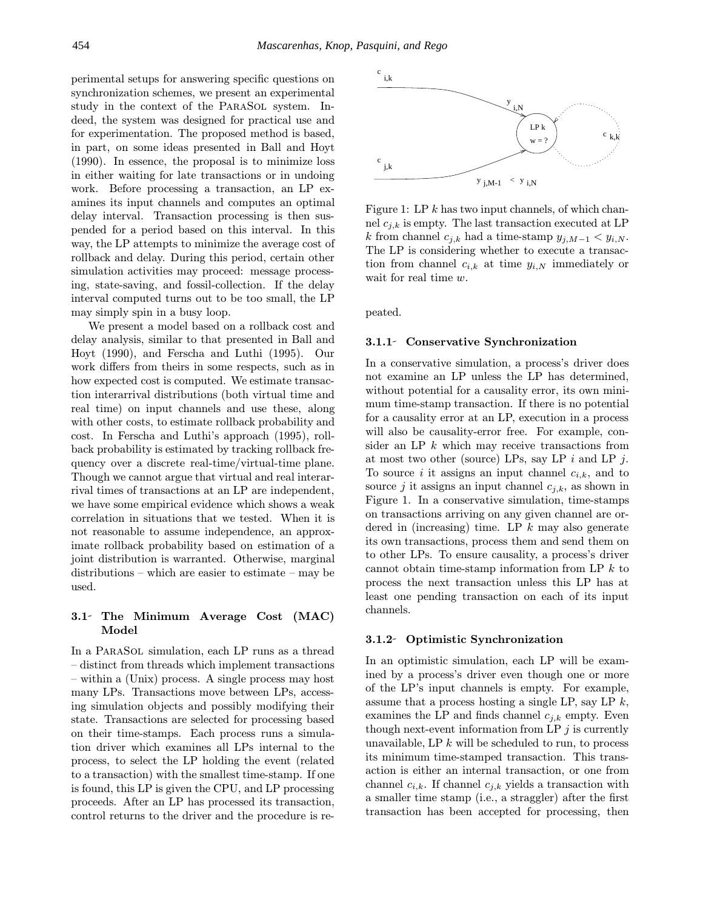perimental setups for answering specific questions on synchronization schemes, we present an experimental study in the context of the ParaSol system. Indeed, the system was designed for practical use and for experimentation. The proposed method is based, in part, on some ideas presented in Ball and Hoyt (1990). In essence, the proposal is to minimize loss in either waiting for late transactions or in undoing work. Before processing a transaction, an LP examines its input channels and computes an optimal delay interval. Transaction processing is then suspended for a period based on this interval. In this way, the LP attempts to minimize the average cost of rollback and delay. During this period, certain other simulation activities may proceed: message processing, state-saving, and fossil-collection. If the delay interval computed turns out to be too small, the LP may simply spin in a busy loop.

We present a model based on a rollback cost and delay analysis, similar to that presented in Ball and Hoyt (1990), and Ferscha and Luthi (1995). Our work differs from theirs in some respects, such as in how expected cost is computed. We estimate transaction interarrival distributions (both virtual time and real time) on input channels and use these, along with other costs, to estimate rollback probability and cost. In Ferscha and Luthi's approach (1995), rollback probability is estimated by tracking rollback frequency over a discrete real-time/virtual-time plane. Though we cannot argue that virtual and real interarrival times of transactions at an LP are independent, we have some empirical evidence which shows a weak correlation in situations that we tested. When it is not reasonable to assume independence, an approximate rollback probability based on estimation of a joint distribution is warranted. Otherwise, marginal distributions – which are easier to estimate – may be used.

# 3.1 The Minimum Average Cost (MAC) Model

In a ParaSol simulation, each LP runs as a thread – distinct from threads which implement transactions – within a (Unix) process. A single process may host many LPs. Transactions move between LPs, accessing simulation objects and possibly modifying their state. Transactions are selected for processing based on their time-stamps. Each process runs a simulation driver which examines all LPs internal to the process, to select the LP holding the event (related to a transaction) with the smallest time-stamp. If one is found, this LP is given the CPU, and LP processing proceeds. After an LP has processed its transaction, control returns to the driver and the procedure is re-



Figure 1: LP  $k$  has two input channels, of which channel  $c_{i,k}$  is empty. The last transaction executed at LP k from channel  $c_{j,k}$  had a time-stamp  $y_{j,M-1} < y_{i,N}$ . The LP is considering whether to execute a transaction from channel  $c_{i,k}$  at time  $y_{i,N}$  immediately or wait for real time w.

peated.

#### 3.1.1 Conservative Synchronization

In a conservative simulation, a process's driver does not examine an LP unless the LP has determined, without potential for a causality error, its own minimum time-stamp transaction. If there is no potential for a causality error at an LP, execution in a process will also be causality-error free. For example, consider an LP  $k$  which may receive transactions from at most two other (source) LPs, say LP  $i$  and LP  $j$ . To source i it assigns an input channel  $c_{i,k}$ , and to source j it assigns an input channel  $c_{i,k}$ , as shown in Figure 1. In a conservative simulation, time-stamps on transactions arriving on any given channel are ordered in (increasing) time. LP  $k$  may also generate its own transactions, process them and send them on to other LPs. To ensure causality, a process's driver cannot obtain time-stamp information from LP  $k$  to process the next transaction unless this LP has at least one pending transaction on each of its input channels.

### 3.1.2 Optimistic Synchronization

In an optimistic simulation, each LP will be examined by a process's driver even though one or more of the LP's input channels is empty. For example, assume that a process hosting a single LP, say LP  $k$ , examines the LP and finds channel  $c_{i,k}$  empty. Even though next-event information from LP  $j$  is currently unavailable,  $\text{LP } k$  will be scheduled to run, to process its minimum time-stamped transaction. This transaction is either an internal transaction, or one from channel  $c_{i,k}$ . If channel  $c_{i,k}$  yields a transaction with a smaller time stamp (i.e., a straggler) after the first transaction has been accepted for processing, then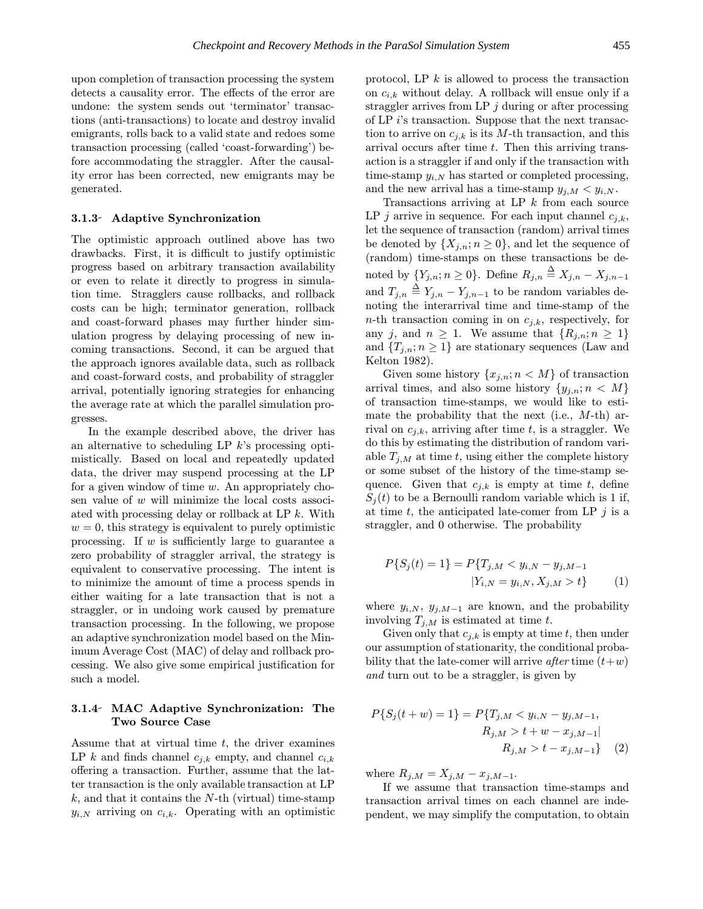upon completion of transaction processing the system detects a causality error. The effects of the error are undone: the system sends out 'terminator' transactions (anti-transactions) to locate and destroy invalid emigrants, rolls back to a valid state and redoes some transaction processing (called 'coast-forwarding') before accommodating the straggler. After the causality error has been corrected, new emigrants may be generated.

### 3.1.3 Adaptive Synchronization

The optimistic approach outlined above has two drawbacks. First, it is difficult to justify optimistic progress based on arbitrary transaction availability or even to relate it directly to progress in simulation time. Stragglers cause rollbacks, and rollback costs can be high; terminator generation, rollback and coast-forward phases may further hinder simulation progress by delaying processing of new incoming transactions. Second, it can be argued that the approach ignores available data, such as rollback and coast-forward costs, and probability of straggler arrival, potentially ignoring strategies for enhancing the average rate at which the parallel simulation progresses.

In the example described above, the driver has an alternative to scheduling LP  $k$ 's processing optimistically. Based on local and repeatedly updated data, the driver may suspend processing at the LP for a given window of time  $w$ . An appropriately chosen value of  $w$  will minimize the local costs associated with processing delay or rollback at LP k. With  $w = 0$ , this strategy is equivalent to purely optimistic processing. If  $w$  is sufficiently large to guarantee a zero probability of straggler arrival, the strategy is equivalent to conservative processing. The intent is to minimize the amount of time a process spends in either waiting for a late transaction that is not a straggler, or in undoing work caused by premature transaction processing. In the following, we propose an adaptive synchronization model based on the Minimum Average Cost (MAC) of delay and rollback processing. We also give some empirical justification for such a model.

# 3.1.4 MAC Adaptive Synchronization: The Two Source Case

Assume that at virtual time  $t$ , the driver examines LP k and finds channel  $c_{j,k}$  empty, and channel  $c_{i,k}$ offering a transaction. Further, assume that the latter transaction is the only available transaction at LP  $k$ , and that it contains the N-th (virtual) time-stamp  $y_{i,N}$  arriving on  $c_{i,k}$ . Operating with an optimistic protocol, LP  $k$  is allowed to process the transaction on  $c_{i,k}$  without delay. A rollback will ensue only if a straggler arrives from LP  $j$  during or after processing of LP i's transaction. Suppose that the next transaction to arrive on  $c_{i,k}$  is its M-th transaction, and this arrival occurs after time  $t$ . Then this arriving transaction is a straggler if and only if the transaction with time-stamp  $y_{i,N}$  has started or completed processing, and the new arrival has a time-stamp  $y_{j,M} < y_{i,N}$ .

Transactions arriving at LP  $k$  from each source LP *j* arrive in sequence. For each input channel  $c_{i,k}$ , let the sequence of transaction (random) arrival times be denoted by  $\{X_{i,n}; n \geq 0\}$ , and let the sequence of (random) time-stamps on these transactions be denoted by  $\{Y_{j,n}; n \geq 0\}$ . Define  $R_{j,n} \stackrel{\Delta}{=} X_{j,n} - X_{j,n-1}$ and  $T_{j,n} \triangleq Y_{j,n} - Y_{j,n-1}$  to be random variables denoting the interarrival time and time-stamp of the  $n$ -th transaction coming in on  $c_{j,k}$ , respectively, for any j, and  $n \geq 1$ . We assume that  $\{R_{j,n}; n \geq 1\}$ and  ${T_{j,n}; n \geq 1}$  are stationary sequences (Law and Kelton 1982).

Given some history  $\{x_{j,n}; n \lt M\}$  of transaction arrival times, and also some history  $\{y_{j,n}; n \lt M\}$ of transaction time-stamps, we would like to estimate the probability that the next (i.e.,  $M$ -th) arrival on  $c_{i,k}$ , arriving after time t, is a straggler. We do this by estimating the distribution of random variable  $T_{j,M}$  at time t, using either the complete history or some subset of the history of the time-stamp sequence. Given that  $c_{j,k}$  is empty at time t, define  $S_i(t)$  to be a Bernoulli random variable which is 1 if, at time t, the anticipated late-comer from LP  $j$  is a straggler, and 0 otherwise. The probability

$$
P\{S_j(t) = 1\} = P\{T_{j,M} < y_{i,N} - y_{j,M-1} \mid Y_{i,N} = y_{i,N}, X_{j,M} > t\} \tag{1}
$$

where  $y_{i,N}$ ,  $y_{j,M-1}$  are known, and the probability involving  $T_{i,M}$  is estimated at time t.

Given only that  $c_{i,k}$  is empty at time t, then under our assumption of stationarity, the conditional probability that the late-comer will arrive *after* time  $(t+w)$ and turn out to be a straggler, is given by

$$
P\{S_j(t+w) = 1\} = P\{T_{j,M} < y_{i,N} - y_{j,M-1},
$$
\n
$$
R_{j,M} > t+w - x_{j,M-1} \mid
$$
\n
$$
R_{j,M} > t - x_{j,M-1}\} \tag{2}
$$

where  $R_{j,M} = X_{j,M} - x_{j,M-1}$ .

If we assume that transaction time-stamps and transaction arrival times on each channel are independent, we may simplify the computation, to obtain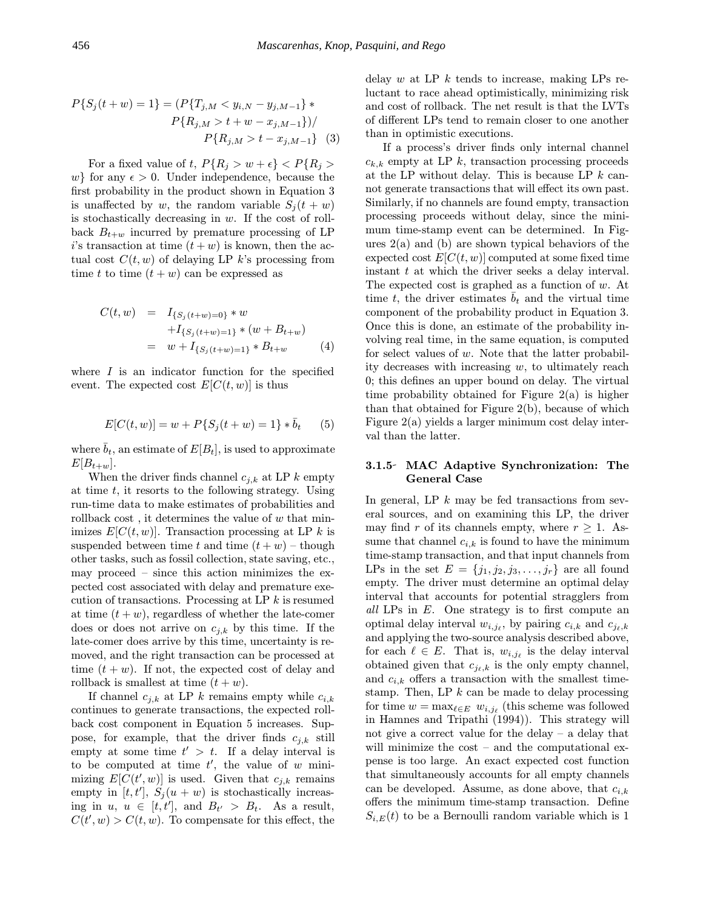$$
P\{S_j(t+w) = 1\} = (P\{T_{j,M} < y_{i,N} - y_{j,M-1}\} * P\{R_{j,M} > t+w - x_{j,M-1}\})/ P\{R_{j,M} > t - x_{j,M-1}\} \quad (3)
$$

For a fixed value of t,  $P\{R_j > w + \epsilon\} < P\{R_j > \epsilon\}$ w} for any  $\epsilon > 0$ . Under independence, because the first probability in the product shown in Equation 3 is unaffected by w, the random variable  $S_i(t + w)$ is stochastically decreasing in  $w$ . If the cost of rollback  $B_{t+w}$  incurred by premature processing of LP i's transaction at time  $(t + w)$  is known, then the actual cost  $C(t, w)$  of delaying LP k's processing from time t to time  $(t + w)$  can be expressed as

$$
C(t, w) = I_{\{S_j(t+w)=0\}} * w
$$
  
+
$$
I_{\{S_j(t+w)=1\}} * (w + B_{t+w})
$$
  
= 
$$
w + I_{\{S_j(t+w)=1\}} * B_{t+w}
$$
 (4)

where  $I$  is an indicator function for the specified event. The expected cost  $E[C(t, w)]$  is thus

$$
E[C(t, w)] = w + P\{S_j(t + w) = 1\} * \bar{b}_t \qquad (5)
$$

where  $\bar{b}_t$ , an estimate of  $E[B_t]$ , is used to approximate  $E[B_{t+w}].$ 

When the driver finds channel  $c_{j,k}$  at LP k empty at time  $t$ , it resorts to the following strategy. Using run-time data to make estimates of probabilities and rollback cost, it determines the value of  $w$  that minimizes  $E[C(t, w)]$ . Transaction processing at LP k is suspended between time t and time  $(t + w)$  – though other tasks, such as fossil collection, state saving, etc., may proceed – since this action minimizes the expected cost associated with delay and premature execution of transactions. Processing at LP  $k$  is resumed at time  $(t + w)$ , regardless of whether the late-comer does or does not arrive on  $c_{j,k}$  by this time. If the late-comer does arrive by this time, uncertainty is removed, and the right transaction can be processed at time  $(t + w)$ . If not, the expected cost of delay and rollback is smallest at time  $(t + w)$ .

If channel  $c_{i,k}$  at LP k remains empty while  $c_{i,k}$ continues to generate transactions, the expected rollback cost component in Equation 5 increases. Suppose, for example, that the driver finds  $c_{j,k}$  still empty at some time  $t' > t$ . If a delay interval is to be computed at time  $t'$ , the value of w minimizing  $E[C(t', w)]$  is used. Given that  $c_{j,k}$  remains empty in [t, t'],  $S_j(u + w)$  is stochastically increasing in  $u, u \in [t, t']$ , and  $B_{t'} > B_t$ . As a result,  $C(t', w) > C(t, w)$ . To compensate for this effect, the delay w at LP  $k$  tends to increase, making LPs reluctant to race ahead optimistically, minimizing risk and cost of rollback. The net result is that the LVTs of different LPs tend to remain closer to one another than in optimistic executions.

If a process's driver finds only internal channel  $c_{k,k}$  empty at LP k, transaction processing proceeds at the LP without delay. This is because LP  $k$  cannot generate transactions that will effect its own past. Similarly, if no channels are found empty, transaction processing proceeds without delay, since the minimum time-stamp event can be determined. In Figures  $2(a)$  and (b) are shown typical behaviors of the expected cost  $E[C(t, w)]$  computed at some fixed time instant  $t$  at which the driver seeks a delay interval. The expected cost is graphed as a function of  $w$ . At time t, the driver estimates  $\bar{b}_t$  and the virtual time component of the probability product in Equation 3. Once this is done, an estimate of the probability involving real time, in the same equation, is computed for select values of  $w$ . Note that the latter probability decreases with increasing  $w$ , to ultimately reach 0; this defines an upper bound on delay. The virtual time probability obtained for Figure  $2(a)$  is higher than that obtained for Figure 2(b), because of which Figure 2(a) yields a larger minimum cost delay interval than the latter.

# 3.1.5 MAC Adaptive Synchronization: The General Case

In general, LP  $k$  may be fed transactions from several sources, and on examining this LP, the driver may find r of its channels empty, where  $r \geq 1$ . Assume that channel  $c_{i,k}$  is found to have the minimum time-stamp transaction, and that input channels from LPs in the set  $E = \{j_1, j_2, j_3, \ldots, j_r\}$  are all found empty. The driver must determine an optimal delay interval that accounts for potential stragglers from all LPs in E. One strategy is to first compute an optimal delay interval  $w_{i,j_\ell}$ , by pairing  $c_{i,k}$  and  $c_{j_\ell,k}$ and applying the two-source analysis described above, for each  $\ell \in E$ . That is,  $w_{i,j_\ell}$  is the delay interval obtained given that  $c_{j_\ell,k}$  is the only empty channel, and  $c_{i,k}$  offers a transaction with the smallest timestamp. Then, LP  $k$  can be made to delay processing for time  $w = \max_{\ell \in E} w_{i,j_\ell}$  (this scheme was followed in Hamnes and Tripathi (1994)). This strategy will not give a correct value for the delay – a delay that will minimize the cost – and the computational expense is too large. An exact expected cost function that simultaneously accounts for all empty channels can be developed. Assume, as done above, that  $c_{i,k}$ offers the minimum time-stamp transaction. Define  $S_{i,E}(t)$  to be a Bernoulli random variable which is 1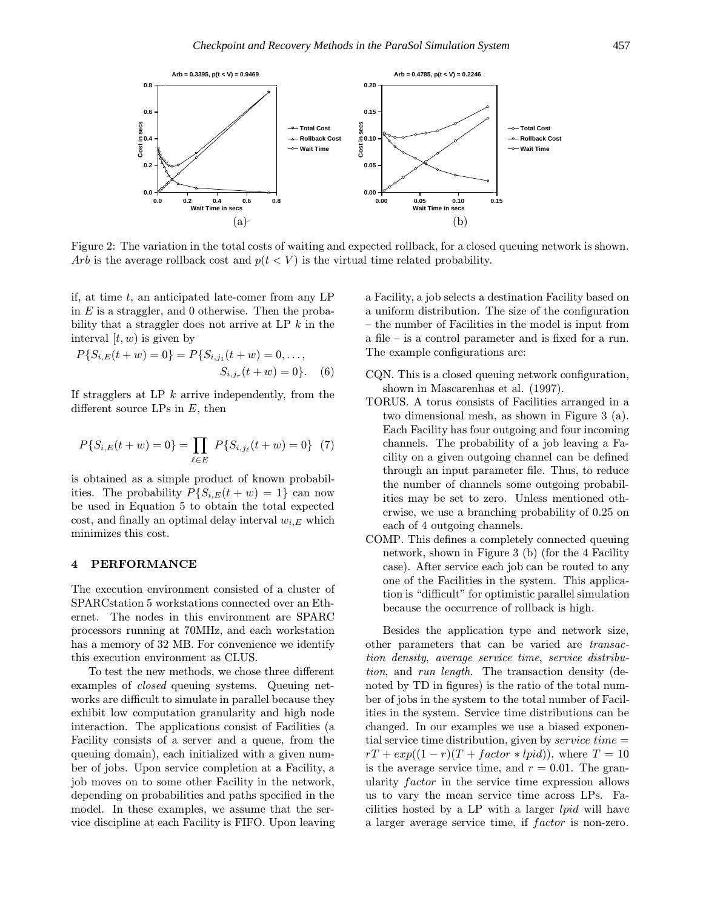

Figure 2: The variation in the total costs of waiting and expected rollback, for a closed queuing network is shown. Arb is the average rollback cost and  $p(t \leq V)$  is the virtual time related probability.

if, at time  $t$ , an anticipated late-comer from any LP in  $E$  is a straggler, and 0 otherwise. Then the probability that a straggler does not arrive at LP  $k$  in the interval  $[t, w)$  is given by

$$
P\{S_{i,E}(t+w) = 0\} = P\{S_{i,j_1}(t+w) = 0, \ldots, S_{i,j_r}(t+w) = 0\}.
$$
 (6)

If stragglers at LP  $k$  arrive independently, from the different source LPs in  $E$ , then

$$
P\{S_{i,E}(t+w) = 0\} = \prod_{\ell \in E} P\{S_{i,j_\ell}(t+w) = 0\} \tag{7}
$$

is obtained as a simple product of known probabilities. The probability  $P\{S_{i,E}(t+w)=1\}$  can now be used in Equation 5 to obtain the total expected cost, and finally an optimal delay interval  $w_{i,E}$  which minimizes this cost.

### 4 PERFORMANCE

The execution environment consisted of a cluster of SPARCstation 5 workstations connected over an Ethernet. The nodes in this environment are SPARC processors running at 70MHz, and each workstation has a memory of 32 MB. For convenience we identify this execution environment as CLUS.

To test the new methods, we chose three different examples of closed queuing systems. Queuing networks are difficult to simulate in parallel because they exhibit low computation granularity and high node interaction. The applications consist of Facilities (a Facility consists of a server and a queue, from the queuing domain), each initialized with a given number of jobs. Upon service completion at a Facility, a job moves on to some other Facility in the network, depending on probabilities and paths specified in the model. In these examples, we assume that the service discipline at each Facility is FIFO. Upon leaving a Facility, a job selects a destination Facility based on a uniform distribution. The size of the configuration – the number of Facilities in the model is input from a file – is a control parameter and is fixed for a run. The example configurations are:

- CQN. This is a closed queuing network configuration, shown in Mascarenhas et al. (1997).
- TORUS. A torus consists of Facilities arranged in a two dimensional mesh, as shown in Figure 3 (a). Each Facility has four outgoing and four incoming channels. The probability of a job leaving a Facility on a given outgoing channel can be defined through an input parameter file. Thus, to reduce the number of channels some outgoing probabilities may be set to zero. Unless mentioned otherwise, we use a branching probability of 0.25 on each of 4 outgoing channels.
- COMP. This defines a completely connected queuing network, shown in Figure 3 (b) (for the 4 Facility case). After service each job can be routed to any one of the Facilities in the system. This application is "difficult" for optimistic parallel simulation because the occurrence of rollback is high.

Besides the application type and network size, other parameters that can be varied are transaction density, average service time, service distribution, and run length. The transaction density (denoted by TD in figures) is the ratio of the total number of jobs in the system to the total number of Facilities in the system. Service time distributions can be changed. In our examples we use a biased exponential service time distribution, given by *service time*  $=$  $rT + exp((1 - r)(T + factor * lpid))$ , where  $T = 10$ is the average service time, and  $r = 0.01$ . The granularity factor in the service time expression allows us to vary the mean service time across LPs. Facilities hosted by a LP with a larger lpid will have a larger average service time, if factor is non-zero.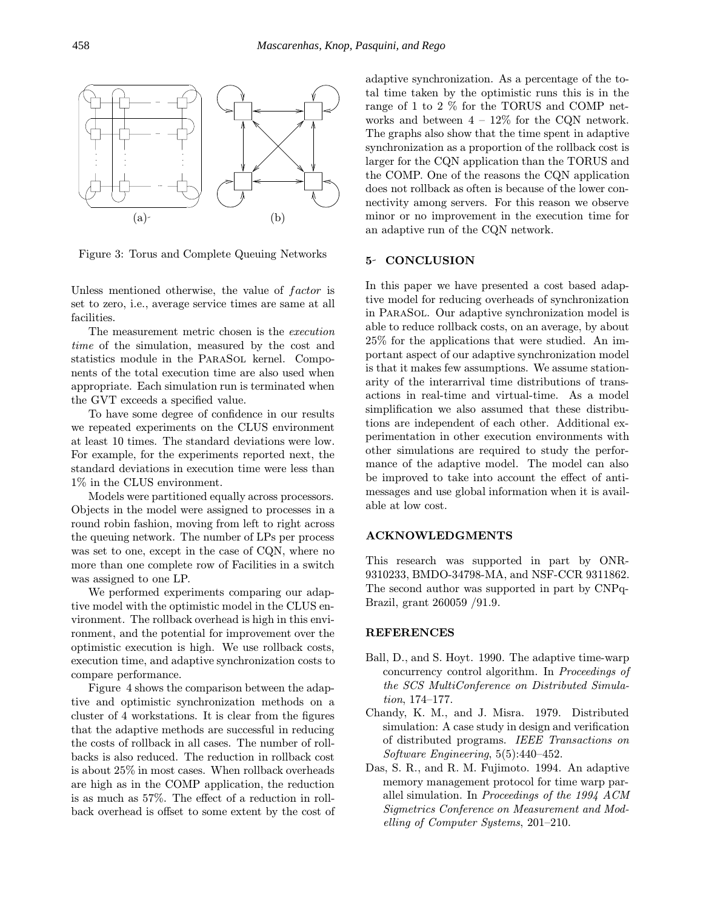

Figure 3: Torus and Complete Queuing Networks

Unless mentioned otherwise, the value of factor is set to zero, i.e., average service times are same at all facilities.

The measurement metric chosen is the execution time of the simulation, measured by the cost and statistics module in the PARASOL kernel. Components of the total execution time are also used when appropriate. Each simulation run is terminated when the GVT exceeds a specified value.

To have some degree of confidence in our results we repeated experiments on the CLUS environment at least 10 times. The standard deviations were low. For example, for the experiments reported next, the standard deviations in execution time were less than 1% in the CLUS environment.

Models were partitioned equally across processors. Objects in the model were assigned to processes in a round robin fashion, moving from left to right across the queuing network. The number of LPs per process was set to one, except in the case of CQN, where no more than one complete row of Facilities in a switch was assigned to one LP.

We performed experiments comparing our adaptive model with the optimistic model in the CLUS environment. The rollback overhead is high in this environment, and the potential for improvement over the optimistic execution is high. We use rollback costs, execution time, and adaptive synchronization costs to compare performance.

Figure 4 shows the comparison between the adaptive and optimistic synchronization methods on a cluster of 4 workstations. It is clear from the figures that the adaptive methods are successful in reducing the costs of rollback in all cases. The number of rollbacks is also reduced. The reduction in rollback cost is about 25% in most cases. When rollback overheads are high as in the COMP application, the reduction is as much as 57%. The effect of a reduction in rollback overhead is offset to some extent by the cost of adaptive synchronization. As a percentage of the total time taken by the optimistic runs this is in the range of 1 to 2 % for the TORUS and COMP networks and between  $4 - 12\%$  for the CQN network. The graphs also show that the time spent in adaptive synchronization as a proportion of the rollback cost is larger for the CQN application than the TORUS and the COMP. One of the reasons the CQN application does not rollback as often is because of the lower connectivity among servers. For this reason we observe minor or no improvement in the execution time for an adaptive run of the CQN network.

#### 5- CONCLUSION

In this paper we have presented a cost based adaptive model for reducing overheads of synchronization in ParaSol. Our adaptive synchronization model is able to reduce rollback costs, on an average, by about 25% for the applications that were studied. An important aspect of our adaptive synchronization model is that it makes few assumptions. We assume stationarity of the interarrival time distributions of transactions in real-time and virtual-time. As a model simplification we also assumed that these distributions are independent of each other. Additional experimentation in other execution environments with other simulations are required to study the performance of the adaptive model. The model can also be improved to take into account the effect of antimessages and use global information when it is available at low cost.

### ACKNOWLEDGMENTS

This research was supported in part by ONR-9310233, BMDO-34798-MA, and NSF-CCR 9311862. The second author was supported in part by CNPq-Brazil, grant 260059 /91.9.

### REFERENCES

- Ball, D., and S. Hoyt. 1990. The adaptive time-warp concurrency control algorithm. In Proceedings of the SCS MultiConference on Distributed Simulation, 174–177.
- Chandy, K. M., and J. Misra. 1979. Distributed simulation: A case study in design and verification of distributed programs. IEEE Transactions on Software Engineering, 5(5):440–452.
- Das, S. R., and R. M. Fujimoto. 1994. An adaptive memory management protocol for time warp parallel simulation. In Proceedings of the 1994 ACM Sigmetrics Conference on Measurement and Modelling of Computer Systems, 201–210.